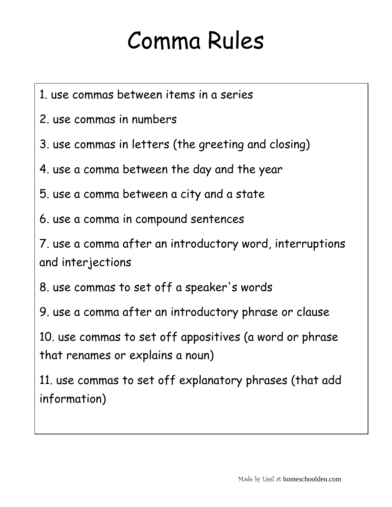## Comma Rules

- 1. use commas between items in a series
- 2. use commas in numbers
- 3. use commas in letters (the greeting and closing)
- 4. use a comma between the day and the year
- 5. use a comma between a city and a state
- 6. use a comma in compound sentences

7. use a comma after an introductory word, interruptions and interjections

- 8. use commas to set off a speaker's words
- 9. use a comma after an introductory phrase or clause

10. use commas to set off appositives (a word or phrase that renames or explains a noun)

11. use commas to set off explanatory phrases (that add information)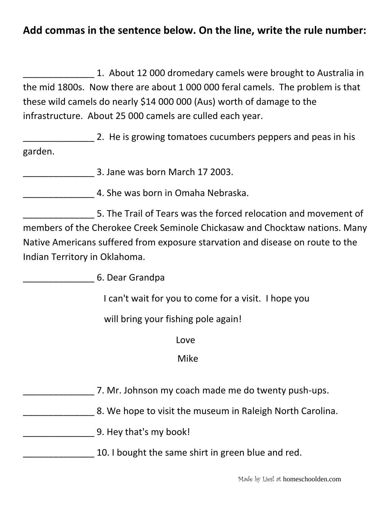## **Add commas in the sentence below. On the line, write the rule number:**

\_\_\_\_\_\_\_\_\_\_\_\_\_\_ 1. About 12 000 dromedary camels were brought to Australia in the mid 1800s. Now there are about 1 000 000 feral camels. The problem is that these wild camels do nearly \$14 000 000 (Aus) worth of damage to the infrastructure. About 25 000 camels are culled each year.

2. He is growing tomatoes cucumbers peppers and peas in his garden.

\_\_\_\_\_\_\_\_\_\_\_\_\_\_ 3. Jane was born March 17 2003.

\_\_\_\_\_\_\_\_\_\_\_\_\_\_ 4. She was born in Omaha Nebraska.

\_\_\_\_\_\_\_\_\_\_\_\_\_\_ 5. The Trail of Tears was the forced relocation and movement of members of the Cherokee Creek Seminole Chickasaw and Chocktaw nations. Many Native Americans suffered from exposure starvation and disease on route to the Indian Territory in Oklahoma.

\_\_\_\_\_\_\_\_\_\_\_\_\_\_ 6. Dear Grandpa

I can't wait for you to come for a visit. I hope you

will bring your fishing pole again!

**Love Love** 

## Mike

- \_\_\_\_\_\_\_\_\_\_\_\_\_\_ 7. Mr. Johnson my coach made me do twenty push-ups.
- **EXECUTE:** 8. We hope to visit the museum in Raleigh North Carolina.
- \_\_\_\_\_\_\_\_\_\_\_\_\_\_ 9. Hey that's my book!
	- 10. I bought the same shirt in green blue and red.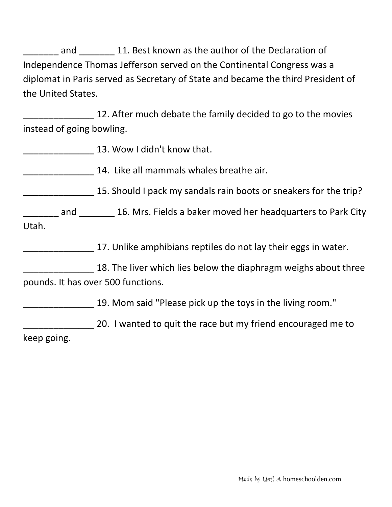and and 21. Best known as the author of the Declaration of Independence Thomas Jefferson served on the Continental Congress was a diplomat in Paris served as Secretary of State and became the third President of the United States.

12. After much debate the family decided to go to the movies instead of going bowling.

13. Wow I didn't know that.

\_\_\_\_\_\_\_\_\_\_\_\_\_\_ 14. Like all mammals whales breathe air.

**EXALGE 2018 2018 120 SHOULD 15. Should I pack my sandals rain boots or sneakers for the trip?** 

and 16. Mrs. Fields a baker moved her headquarters to Park City Utah.

\_\_\_\_\_\_\_\_\_\_\_\_\_\_ 17. Unlike amphibians reptiles do not lay their eggs in water.

18. The liver which lies below the diaphragm weighs about three pounds. It has over 500 functions.

\_\_\_\_\_\_\_\_\_\_\_\_\_\_ 19. Mom said "Please pick up the toys in the living room."

20. I wanted to quit the race but my friend encouraged me to keep going.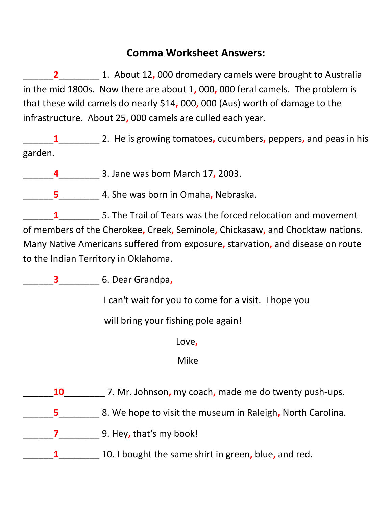## **Comma Worksheet Answers:**

\_\_\_\_\_\_**2**\_\_\_\_\_\_\_\_ 1. About 12**,** 000 dromedary camels were brought to Australia in the mid 1800s. Now there are about 1**,** 000**,** 000 feral camels. The problem is that these wild camels do nearly \$14**,** 000**,** 000 (Aus) worth of damage to the infrastructure. About 25**,** 000 camels are culled each year.

\_\_\_\_\_\_**1**\_\_\_\_\_\_\_\_ 2. He is growing tomatoes**,** cucumbers**,** peppers**,** and peas in his garden.

\_\_\_\_\_\_**4**\_\_\_\_\_\_\_\_ 3. Jane was born March 17**,** 2003.

\_\_\_\_\_\_**5**\_\_\_\_\_\_\_\_ 4. She was born in Omaha**,** Nebraska.

\_\_\_\_\_\_**1**\_\_\_\_\_\_\_\_ 5. The Trail of Tears was the forced relocation and movement of members of the Cherokee**,** Creek**,** Seminole**,** Chickasaw**,** and Chocktaw nations. Many Native Americans suffered from exposure**,** starvation**,** and disease on route to the Indian Territory in Oklahoma.

\_\_\_\_\_\_**3**\_\_\_\_\_\_\_\_ 6. Dear Grandpa**,**

I can't wait for you to come for a visit. I hope you

will bring your fishing pole again!

Love**,**

Mike

- \_\_\_\_\_\_**10**\_\_\_\_\_\_\_\_ 7. Mr. Johnson**,** my coach**,** made me do twenty push-ups.
- \_\_\_\_\_\_**5**\_\_\_\_\_\_\_\_ 8. We hope to visit the museum in Raleigh**,** North Carolina.

\_\_\_\_\_\_**7**\_\_\_\_\_\_\_\_ 9. Hey**,** that's my book!

\_\_\_\_\_\_**1**\_\_\_\_\_\_\_\_ 10. I bought the same shirt in green**,** blue**,** and red.